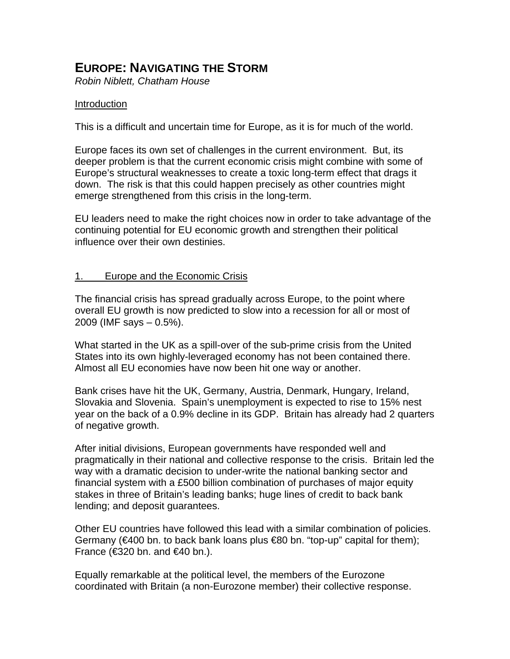# **EUROPE: NAVIGATING THE STORM**

*Robin Niblett, Chatham House* 

## Introduction

This is a difficult and uncertain time for Europe, as it is for much of the world.

Europe faces its own set of challenges in the current environment. But, its deeper problem is that the current economic crisis might combine with some of Europe's structural weaknesses to create a toxic long-term effect that drags it down. The risk is that this could happen precisely as other countries might emerge strengthened from this crisis in the long-term.

EU leaders need to make the right choices now in order to take advantage of the continuing potential for EU economic growth and strengthen their political influence over their own destinies.

#### 1. Europe and the Economic Crisis

The financial crisis has spread gradually across Europe, to the point where overall EU growth is now predicted to slow into a recession for all or most of 2009 (IMF says – 0.5%).

What started in the UK as a spill-over of the sub-prime crisis from the United States into its own highly-leveraged economy has not been contained there. Almost all EU economies have now been hit one way or another.

Bank crises have hit the UK, Germany, Austria, Denmark, Hungary, Ireland, Slovakia and Slovenia. Spain's unemployment is expected to rise to 15% nest year on the back of a 0.9% decline in its GDP. Britain has already had 2 quarters of negative growth.

After initial divisions, European governments have responded well and pragmatically in their national and collective response to the crisis. Britain led the way with a dramatic decision to under-write the national banking sector and financial system with a £500 billion combination of purchases of major equity stakes in three of Britain's leading banks; huge lines of credit to back bank lending; and deposit guarantees.

Other EU countries have followed this lead with a similar combination of policies. Germany ( $\in$ 400 bn. to back bank loans plus  $\in$ 80 bn. "top-up" capital for them); France ( $\text{\textsterling}320$  bn. and  $\text{\textsterling}40$  bn.).

Equally remarkable at the political level, the members of the Eurozone coordinated with Britain (a non-Eurozone member) their collective response.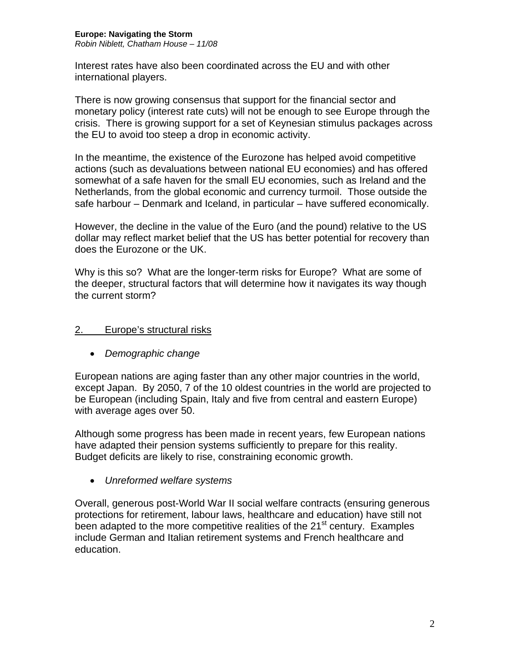Interest rates have also been coordinated across the EU and with other international players.

There is now growing consensus that support for the financial sector and monetary policy (interest rate cuts) will not be enough to see Europe through the crisis. There is growing support for a set of Keynesian stimulus packages across the EU to avoid too steep a drop in economic activity.

In the meantime, the existence of the Eurozone has helped avoid competitive actions (such as devaluations between national EU economies) and has offered somewhat of a safe haven for the small EU economies, such as Ireland and the Netherlands, from the global economic and currency turmoil. Those outside the safe harbour – Denmark and Iceland, in particular – have suffered economically.

However, the decline in the value of the Euro (and the pound) relative to the US dollar may reflect market belief that the US has better potential for recovery than does the Eurozone or the UK.

Why is this so? What are the longer-term risks for Europe? What are some of the deeper, structural factors that will determine how it navigates its way though the current storm?

# 2. Europe's structural risks

• *Demographic change*

European nations are aging faster than any other major countries in the world, except Japan. By 2050, 7 of the 10 oldest countries in the world are projected to be European (including Spain, Italy and five from central and eastern Europe) with average ages over 50.

Although some progress has been made in recent years, few European nations have adapted their pension systems sufficiently to prepare for this reality. Budget deficits are likely to rise, constraining economic growth.

• *Unreformed welfare systems*

Overall, generous post-World War II social welfare contracts (ensuring generous protections for retirement, labour laws, healthcare and education) have still not been adapted to the more competitive realities of the  $21<sup>st</sup>$  century. Examples include German and Italian retirement systems and French healthcare and education.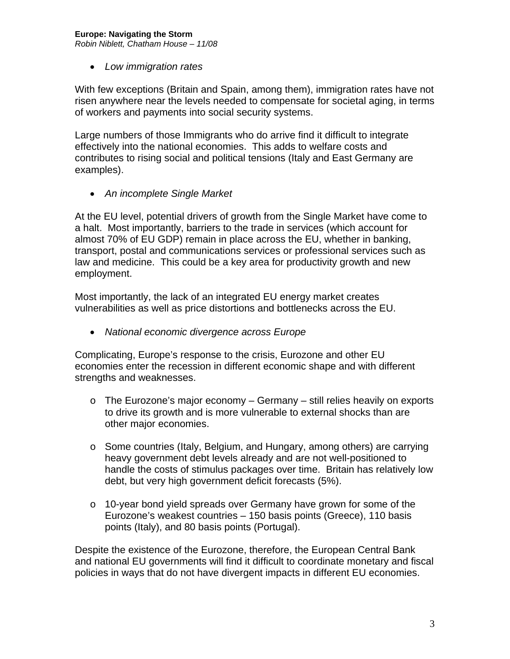# **Europe: Navigating the Storm**

*Robin Niblett, Chatham House – 11/08* 

• *Low immigration rates*

With few exceptions (Britain and Spain, among them), immigration rates have not risen anywhere near the levels needed to compensate for societal aging, in terms of workers and payments into social security systems.

Large numbers of those Immigrants who do arrive find it difficult to integrate effectively into the national economies. This adds to welfare costs and contributes to rising social and political tensions (Italy and East Germany are examples).

• *An incomplete Single Market*

At the EU level, potential drivers of growth from the Single Market have come to a halt. Most importantly, barriers to the trade in services (which account for almost 70% of EU GDP) remain in place across the EU, whether in banking, transport, postal and communications services or professional services such as law and medicine. This could be a key area for productivity growth and new employment.

Most importantly, the lack of an integrated EU energy market creates vulnerabilities as well as price distortions and bottlenecks across the EU.

• *National economic divergence across Europe*

Complicating, Europe's response to the crisis, Eurozone and other EU economies enter the recession in different economic shape and with different strengths and weaknesses.

- o The Eurozone's major economy Germany still relies heavily on exports to drive its growth and is more vulnerable to external shocks than are other major economies.
- o Some countries (Italy, Belgium, and Hungary, among others) are carrying heavy government debt levels already and are not well-positioned to handle the costs of stimulus packages over time. Britain has relatively low debt, but very high government deficit forecasts (5%).
- o 10-year bond yield spreads over Germany have grown for some of the Eurozone's weakest countries – 150 basis points (Greece), 110 basis points (Italy), and 80 basis points (Portugal).

Despite the existence of the Eurozone, therefore, the European Central Bank and national EU governments will find it difficult to coordinate monetary and fiscal policies in ways that do not have divergent impacts in different EU economies.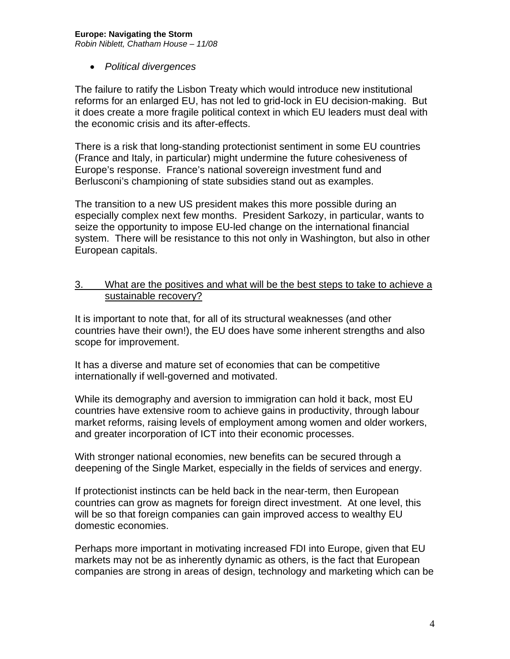#### **Europe: Navigating the Storm**

*Robin Niblett, Chatham House – 11/08* 

• *Political divergences*

The failure to ratify the Lisbon Treaty which would introduce new institutional reforms for an enlarged EU, has not led to grid-lock in EU decision-making. But it does create a more fragile political context in which EU leaders must deal with the economic crisis and its after-effects.

There is a risk that long-standing protectionist sentiment in some EU countries (France and Italy, in particular) might undermine the future cohesiveness of Europe's response. France's national sovereign investment fund and Berlusconi's championing of state subsidies stand out as examples.

The transition to a new US president makes this more possible during an especially complex next few months. President Sarkozy, in particular, wants to seize the opportunity to impose EU-led change on the international financial system. There will be resistance to this not only in Washington, but also in other European capitals.

## 3. What are the positives and what will be the best steps to take to achieve a sustainable recovery?

It is important to note that, for all of its structural weaknesses (and other countries have their own!), the EU does have some inherent strengths and also scope for improvement.

It has a diverse and mature set of economies that can be competitive internationally if well-governed and motivated.

While its demography and aversion to immigration can hold it back, most EU countries have extensive room to achieve gains in productivity, through labour market reforms, raising levels of employment among women and older workers, and greater incorporation of ICT into their economic processes.

With stronger national economies, new benefits can be secured through a deepening of the Single Market, especially in the fields of services and energy.

If protectionist instincts can be held back in the near-term, then European countries can grow as magnets for foreign direct investment. At one level, this will be so that foreign companies can gain improved access to wealthy EU domestic economies.

Perhaps more important in motivating increased FDI into Europe, given that EU markets may not be as inherently dynamic as others, is the fact that European companies are strong in areas of design, technology and marketing which can be